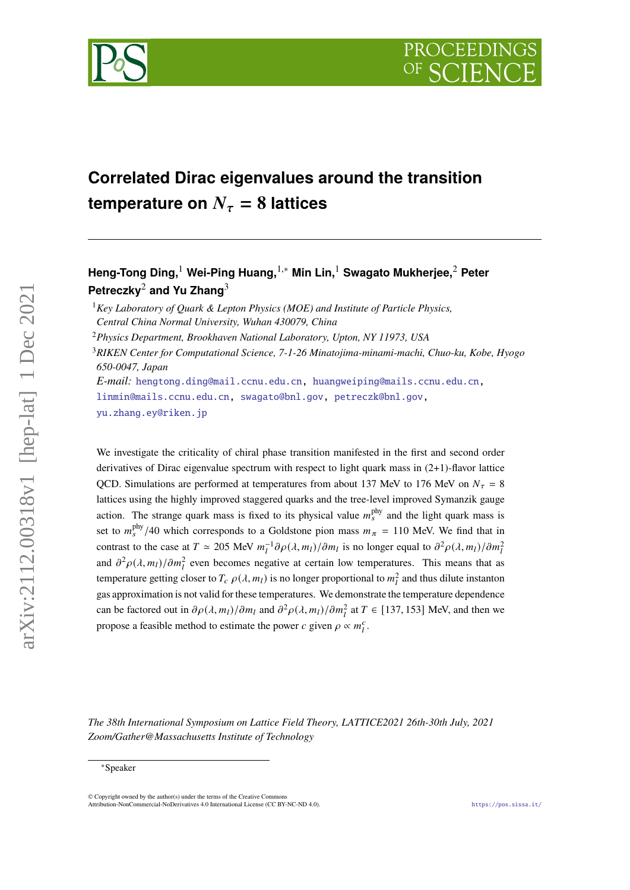

# **Correlated Dirac eigenvalues around the transition temperature on**  $N_\tau = 8$  lattices

**Heng-Tong Ding,**<sup>1</sup> **Wei-Ping Huang,**1,<sup>∗</sup> **Min Lin,**<sup>1</sup> **Swagato Mukherjee,**<sup>2</sup> **Peter Petreczky**<sup>2</sup> **and Yu Zhang**<sup>3</sup>

<sup>1</sup>*Key Laboratory of Quark & Lepton Physics (MOE) and Institute of Particle Physics, Central China Normal University, Wuhan 430079, China*

<sup>2</sup>*Physics Department, Brookhaven National Laboratory, Upton, NY 11973, USA*

<sup>3</sup>*RIKEN Center for Computational Science, 7-1-26 Minatojima-minami-machi, Chuo-ku, Kobe, Hyogo 650-0047, Japan*

*E-mail:* [hengtong.ding@mail.ccnu.edu.cn,](mailto:hengtong.ding@mail.ccnu.edu.cn) [huangweiping@mails.ccnu.edu.cn,](mailto:huangweiping@mails.ccnu.edu.cn) [linmin@mails.ccnu.edu.cn,](mailto:linmin@mails.ccnu.edu.cn) [swagato@bnl.gov,](mailto:swagato@bnl.gov) [petreczk@bnl.gov,](mailto:petreczk@bnl.gov) [yu.zhang.ey@riken.jp](mailto:yu.zhang.ey@riken.jp)

We investigate the criticality of chiral phase transition manifested in the first and second order derivatives of Dirac eigenvalue spectrum with respect to light quark mass in (2+1)-flavor lattice QCD. Simulations are performed at temperatures from about 137 MeV to 176 MeV on  $N_{\tau} = 8$ lattices using the highly improved staggered quarks and the tree-level improved Symanzik gauge action. The strange quark mass is fixed to its physical value  $m_s^{\text{phy}}$  and the light quark mass is set to  $m_s^{\text{phy}}/40$  which corresponds to a Goldstone pion mass  $m_\pi = 110$  MeV. We find that in contrast to the case at  $T \simeq 205$  MeV  $m_l^{-1} \partial \rho(\lambda, m_l)/\partial m_l$  is no longer equal to  $\partial^2 \rho(\lambda, m_l)/\partial m_l^2$ and  $\partial^2 \rho(\lambda, m_l)/\partial m_l^2$  even becomes negative at certain low temperatures. This means that as temperature getting closer to  $T_c$   $\rho(\lambda, m_l)$  is no longer proportional to  $m_l^2$  and thus dilute instanton gas approximation is not valid for these temperatures. We demonstrate the temperature dependence can be factored out in  $\partial \rho(\lambda, m_l)/\partial m_l$  and  $\partial^2 \rho(\lambda, m_l)/\partial m_l^2$  at  $T \in [137, 153]$  MeV, and then we propose a feasible method to estimate the power c given  $\rho \propto m_l^c$ .

*The 38th International Symposium on Lattice Field Theory, LATTICE2021 26th-30th July, 2021 Zoom/Gather@Massachusetts Institute of Technology*

 $arXiv:2112.00318v1$  [hep-lat] 1 Dec 2021

<sup>∗</sup>Speaker

 $\odot$  Copyright owned by the author(s) under the terms of the Creative Common Attribution-NonCommercial-NoDerivatives 4.0 International License (CC BY-NC-ND 4.0). <https://pos.sissa.it/>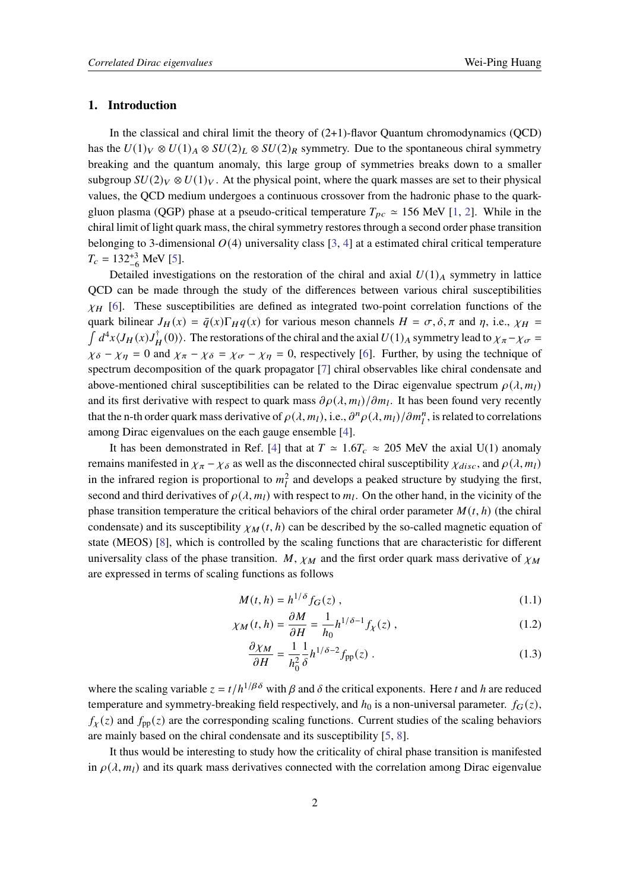## **1. Introduction**

In the classical and chiral limit the theory of  $(2+1)$ -flavor Quantum chromodynamics (QCD) has the  $U(1)_V \otimes U(1)_A \otimes SU(2)_L \otimes SU(2)_R$  symmetry. Due to the spontaneous chiral symmetry breaking and the quantum anomaly, this large group of symmetries breaks down to a smaller subgroup  $SU(2)_V \otimes U(1)_V$ . At the physical point, where the quark masses are set to their physical values, the QCD medium undergoes a continuous crossover from the hadronic phase to the quarkgluon plasma (QGP) phase at a pseudo-critical temperature  $T_{pc} \approx 156$  MeV [\[1,](#page-8-0) [2\]](#page-8-1). While in the chiral limit of light quark mass, the chiral symmetry restores through a second order phase transition belonging to 3-dimensional  $O(4)$  universality class [\[3,](#page-8-2) [4\]](#page-8-3) at a estimated chiral critical temperature  $T_c = 132^{+3}_{-6}$  MeV [\[5\]](#page-8-4).

Detailed investigations on the restoration of the chiral and axial  $U(1)_A$  symmetry in lattice QCD can be made through the study of the differences between various chiral susceptibilities  $\chi_H$  [\[6\]](#page-9-0). These susceptibilities are defined as integrated two-point correlation functions of the quark bilinear  $J_H(x) = \bar{q}(x) \Gamma_H q(x)$  for various meson channels  $H = \sigma, \delta, \pi$  and  $\eta$ , i.e.,  $\chi_H =$  $\int d^4x \langle J_H(x)J_H^{\dagger}(0)\rangle$ . The restorations of the chiral and the axial  $U(1)_A$  symmetry lead to  $\chi_{\pi}-\chi_{\sigma}=$  $\chi_{\delta} - \chi_{\eta} = 0$  and  $\chi_{\pi} - \chi_{\delta} = \chi_{\sigma} - \chi_{\eta} = 0$ , respectively [\[6\]](#page-9-0). Further, by using the technique of spectrum decomposition of the quark propagator [\[7\]](#page-9-1) chiral observables like chiral condensate and above-mentioned chiral susceptibilities can be related to the Dirac eigenvalue spectrum  $\rho(\lambda, m_l)$ and its first derivative with respect to quark mass  $\partial \rho(\lambda, m_l)/\partial m_l$ . It has been found very recently that the n-th order quark mass derivative of  $\rho(\lambda, m_l)$ , i.e.,  $\partial^n \rho(\lambda, m_l)/\partial m_l^n$ , is related to correlations among Dirac eigenvalues on the each gauge ensemble [\[4\]](#page-8-3).

It has been demonstrated in Ref. [\[4\]](#page-8-3) that at  $T \approx 1.6 T_c \approx 205$  MeV the axial U(1) anomaly remains manifested in  $\chi_{\pi} - \chi_{\delta}$  as well as the disconnected chiral susceptibility  $\chi_{disc}$ , and  $\rho(\lambda, m_l)$ in the infrared region is proportional to  $m_l^2$  and develops a peaked structure by studying the first, second and third derivatives of  $\rho(\lambda, m_l)$  with respect to  $m_l$ . On the other hand, in the vicinity of the phase transition temperature the critical behaviors of the chiral order parameter  $M(t, h)$  (the chiral condensate) and its susceptibility  $\chi_M(t, h)$  can be described by the so-called magnetic equation of state (MEOS) [\[8\]](#page-9-2), which is controlled by the scaling functions that are characteristic for different universality class of the phase transition. M,  $\chi_M$  and the first order quark mass derivative of  $\chi_M$ are expressed in terms of scaling functions as follows

$$
M(t, h) = h^{1/\delta} f_G(z) , \qquad (1.1)
$$

$$
\chi_M(t, h) = \frac{\partial M}{\partial H} = \frac{1}{h_0} h^{1/\delta - 1} f_\chi(z) , \qquad (1.2)
$$

$$
\frac{\partial \chi_M}{\partial H} = \frac{1}{h_0^2} \frac{1}{\delta} h^{1/\delta - 2} f_{\rm pp}(z) \tag{1.3}
$$

where the scaling variable  $z = t/h^{1/\beta\delta}$  with  $\beta$  and  $\delta$  the critical exponents. Here t and h are reduced temperature and symmetry-breaking field respectively, and  $h_0$  is a non-universal parameter.  $f_G(z)$ ,  $f_{\chi}(z)$  and  $f_{\text{pp}}(z)$  are the corresponding scaling functions. Current studies of the scaling behaviors are mainly based on the chiral condensate and its susceptibility [\[5,](#page-8-4) [8\]](#page-9-2).

It thus would be interesting to study how the criticality of chiral phase transition is manifested in  $\rho(\lambda, m_l)$  and its quark mass derivatives connected with the correlation among Dirac eigenvalue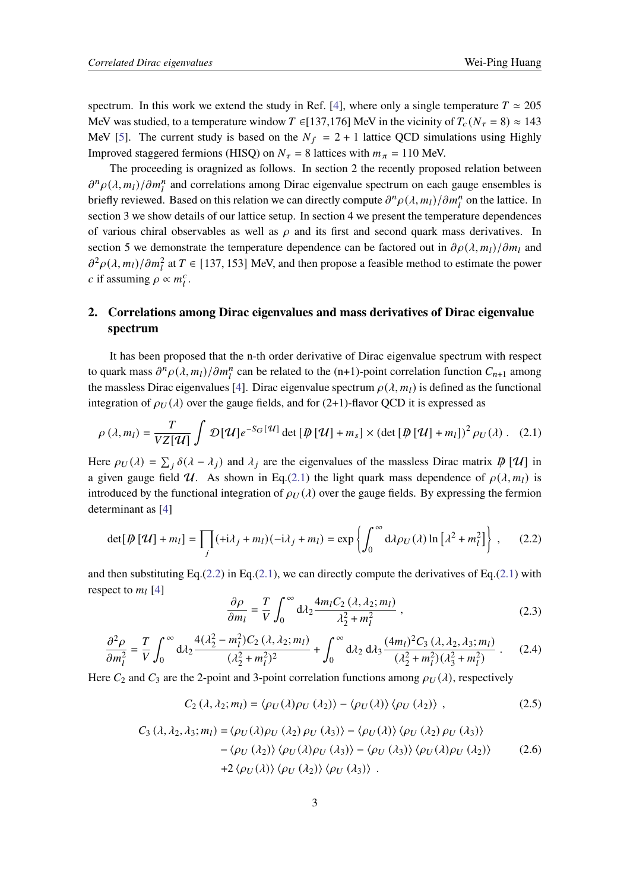spectrum. In this work we extend the study in Ref. [\[4\]](#page-8-3), where only a single temperature  $T \approx 205$ MeV was studied, to a temperature window T ∈[137,176] MeV in the vicinity of  $T_c (N_\tau = 8) \approx 143$ MeV [\[5\]](#page-8-4). The current study is based on the  $N_f = 2 + 1$  lattice QCD simulations using Highly Improved staggered fermions (HISQ) on  $N_{\tau} = 8$  lattices with  $m_{\pi} = 110$  MeV.

The proceeding is oragnized as follows. In section 2 the recently proposed relation between  $\partial^n \rho(\lambda, m_l) / \partial m_l^n$  and correlations among Dirac eigenvalue spectrum on each gauge ensembles is briefly reviewed. Based on this relation we can directly compute  $\partial^n \rho(\lambda, m_l)/\partial m_l^n$  on the lattice. In section 3 we show details of our lattice setup. In section 4 we present the temperature dependences of various chiral observables as well as  $\rho$  and its first and second quark mass derivatives. In section 5 we demonstrate the temperature dependence can be factored out in  $\partial \rho(\lambda, m_l)/\partial m_l$  and  $\partial^2 \rho(\lambda, m_l)/\partial m_l^2$  at  $T \in [137, 153]$  MeV, and then propose a feasible method to estimate the power c if assuming  $\rho \propto m_l^c$ .

# **2. Correlations among Dirac eigenvalues and mass derivatives of Dirac eigenvalue spectrum**

It has been proposed that the n-th order derivative of Dirac eigenvalue spectrum with respect to quark mass  $\partial^n \rho(\lambda, m_l)/\partial m_l^n$  can be related to the (n+1)-point correlation function  $C_{n+1}$  among the massless Dirac eigenvalues [\[4\]](#page-8-3). Dirac eigenvalue spectrum  $\rho(\lambda, m_l)$  is defined as the functional integration of  $\rho_U(\lambda)$  over the gauge fields, and for (2+1)-flavor QCD it is expressed as

$$
\rho(\lambda, m_l) = \frac{T}{VZ[\mathcal{U}]} \int \mathcal{D}[\mathcal{U}] e^{-S_G[\mathcal{U}]} \det [\mathcal{D}[\mathcal{U}] + m_s] \times (\det [\mathcal{D}[\mathcal{U}] + m_l])^2 \rho_U(\lambda). \quad (2.1)
$$

Here  $\rho_U(\lambda) = \sum_i \delta(\lambda - \lambda_i)$  and  $\lambda_i$  are the eigenvalues of the massless Dirac matrix  $\phi[\mathcal{U}]$  in a given gauge field U. As shown in Eq.[\(2.1\)](#page-2-0) the light quark mass dependence of  $\rho(\lambda, m_l)$  is introduced by the functional integration of  $\rho_U(\lambda)$  over the gauge fields. By expressing the fermion determinant as [\[4\]](#page-8-3)

$$
\det[\psi[\mathcal{U}] + m_l] = \prod_j (\pm \lambda_j + m_l)(-\lambda_j + m_l) = \exp\left\{ \int_0^\infty d\lambda \rho_U(\lambda) \ln[\lambda^2 + m_l^2] \right\}, \quad (2.2)
$$

and then substituting Eq.[\(2.2\)](#page-2-1) in Eq.[\(2.1\)](#page-2-0), we can directly compute the derivatives of Eq.(2.1) with respect to  $m_l$  [\[4\]](#page-8-3)

<span id="page-2-1"></span><span id="page-2-0"></span>
$$
\frac{\partial \rho}{\partial m_l} = \frac{T}{V} \int_0^\infty d\lambda_2 \frac{4m_l C_2 (\lambda, \lambda_2; m_l)}{\lambda_2^2 + m_l^2} ,\qquad (2.3)
$$

$$
\frac{\partial^2 \rho}{\partial m_l^2} = \frac{T}{V} \int_0^\infty d\lambda_2 \frac{4(\lambda_2^2 - m_l^2) C_2(\lambda, \lambda_2; m_l)}{(\lambda_2^2 + m_l^2)^2} + \int_0^\infty d\lambda_2 d\lambda_3 \frac{(4m_l)^2 C_3(\lambda, \lambda_2, \lambda_3; m_l)}{(\lambda_2^2 + m_l^2)(\lambda_3^2 + m_l^2)} \,. \tag{2.4}
$$

Here  $C_2$  and  $C_3$  are the 2-point and 3-point correlation functions among  $\rho_U(\lambda)$ , respectively

$$
C_2(\lambda, \lambda_2; m_l) = \langle \rho_U(\lambda) \rho_U(\lambda_2) \rangle - \langle \rho_U(\lambda) \rangle \langle \rho_U(\lambda_2) \rangle , \qquad (2.5)
$$

$$
C_3(\lambda, \lambda_2, \lambda_3; m_l) = \langle \rho_U(\lambda) \rho_U(\lambda_2) \rho_U(\lambda_3) \rangle - \langle \rho_U(\lambda) \rangle \langle \rho_U(\lambda_2) \rho_U(\lambda_3) \rangle
$$
  
 
$$
- \langle \rho_U(\lambda_2) \rangle \langle \rho_U(\lambda) \rho_U(\lambda_3) \rangle - \langle \rho_U(\lambda_3) \rangle \langle \rho_U(\lambda) \rho_U(\lambda_2) \rangle \qquad (2.6)
$$
  
 
$$
+ 2 \langle \rho_U(\lambda) \rangle \langle \rho_U(\lambda_2) \rangle \langle \rho_U(\lambda_3) \rangle .
$$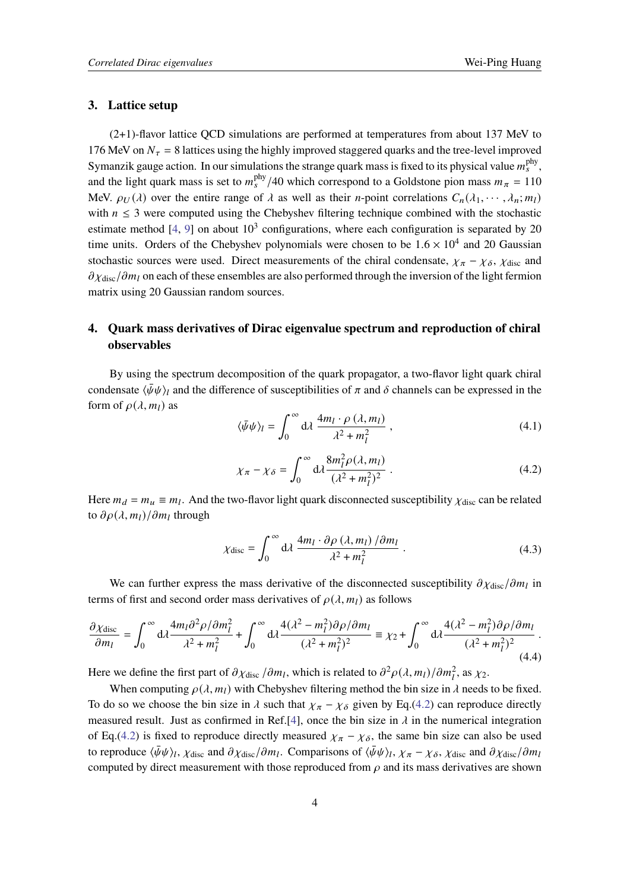# **3. Lattice setup**

(2+1)-flavor lattice QCD simulations are performed at temperatures from about 137 MeV to 176 MeV on  $N_{\tau}$  = 8 lattices using the highly improved staggered quarks and the tree-level improved Symanzik gauge action. In our simulations the strange quark mass is fixed to its physical value  $m_s^{\text{phy}}$ , and the light quark mass is set to  $m_s^{\text{phy}}/40$  which correspond to a Goldstone pion mass  $m_\pi = 110$ MeV.  $\rho_U(\lambda)$  over the entire range of  $\lambda$  as well as their *n*-point correlations  $C_n(\lambda_1, \dots, \lambda_n; m_l)$ with  $n \leq 3$  were computed using the Chebyshev filtering technique combined with the stochastic estimate method [\[4,](#page-8-3) [9\]](#page-9-3) on about  $10^3$  configurations, where each configuration is separated by 20 time units. Orders of the Chebyshev polynomials were chosen to be  $1.6 \times 10^4$  and 20 Gaussian stochastic sources were used. Direct measurements of the chiral condensate,  $\chi_{\pi} - \chi_{\delta}$ ,  $\chi_{\text{disc}}$  and  $\partial \chi_{\text{disc}}/\partial m_l$  on each of these ensembles are also performed through the inversion of the light fermion matrix using 20 Gaussian random sources.

# **4. Quark mass derivatives of Dirac eigenvalue spectrum and reproduction of chiral observables**

By using the spectrum decomposition of the quark propagator, a two-flavor light quark chiral condensate  $\langle \bar{\psi}\psi \rangle_l$  and the difference of susceptibilities of  $\pi$  and  $\delta$  channels can be expressed in the form of  $\rho(\lambda, m_l)$  as

<span id="page-3-1"></span>
$$
\langle \bar{\psi}\psi \rangle_l = \int_0^\infty d\lambda \, \frac{4m_l \cdot \rho \, (\lambda, m_l)}{\lambda^2 + m_l^2} \,, \tag{4.1}
$$

<span id="page-3-0"></span>
$$
\chi_{\pi} - \chi_{\delta} = \int_0^{\infty} d\lambda \frac{8m_l^2 \rho(\lambda, m_l)}{(\lambda^2 + m_l^2)^2} . \tag{4.2}
$$

Here  $m_d = m_u \equiv m_l$ . And the two-flavor light quark disconnected susceptibility  $\chi_{\text{disc}}$  can be related to  $\partial \rho(\lambda, m_l)/\partial m_l$  through

<span id="page-3-2"></span>
$$
\chi_{\text{disc}} = \int_0^\infty d\lambda \, \frac{4m_l \cdot \partial \rho \left(\lambda, m_l\right) / \partial m_l}{\lambda^2 + m_l^2} \,. \tag{4.3}
$$

We can further express the mass derivative of the disconnected susceptibility  $\partial \chi_{\text{disc}}/\partial m_l$  in terms of first and second order mass derivatives of  $\rho(\lambda, m_1)$  as follows

<span id="page-3-3"></span>
$$
\frac{\partial \chi_{\text{disc}}}{\partial m_l} = \int_0^\infty \mathrm{d}\lambda \frac{4m_l \partial^2 \rho / \partial m_l^2}{\lambda^2 + m_l^2} + \int_0^\infty \mathrm{d}\lambda \frac{4(\lambda^2 - m_l^2) \partial \rho / \partial m_l}{(\lambda^2 + m_l^2)^2} \equiv \chi_2 + \int_0^\infty \mathrm{d}\lambda \frac{4(\lambda^2 - m_l^2) \partial \rho / \partial m_l}{(\lambda^2 + m_l^2)^2} \,. \tag{4.4}
$$

Here we define the first part of  $\partial \chi_{\rm disc} / \partial m_l$ , which is related to  $\partial^2 \rho(\lambda, m_l) / \partial m_l^2$ , as  $\chi_2$ .

When computing  $\rho(\lambda, m_l)$  with Chebyshev filtering method the bin size in  $\lambda$  needs to be fixed. To do so we choose the bin size in  $\lambda$  such that  $\chi_{\pi} - \chi_{\delta}$  given by Eq.[\(4.2\)](#page-3-0) can reproduce directly measured result. Just as confirmed in Ref.[\[4\]](#page-8-3), once the bin size in  $\lambda$  in the numerical integration of Eq.[\(4.2\)](#page-3-0) is fixed to reproduce directly measured  $\chi_{\pi} - \chi_{\delta}$ , the same bin size can also be used to reproduce  $\langle \bar{\psi}\psi \rangle_l$ ,  $\chi_{\text{disc}}$  and  $\partial \chi_{\text{disc}}/\partial m_l$ . Comparisons of  $\langle \bar{\psi}\psi \rangle_l$ ,  $\chi_{\pi} - \chi_{\delta}$ ,  $\chi_{\text{disc}}$  and  $\partial \chi_{\text{disc}}/\partial m_l$ computed by direct measurement with those reproduced from  $\rho$  and its mass derivatives are shown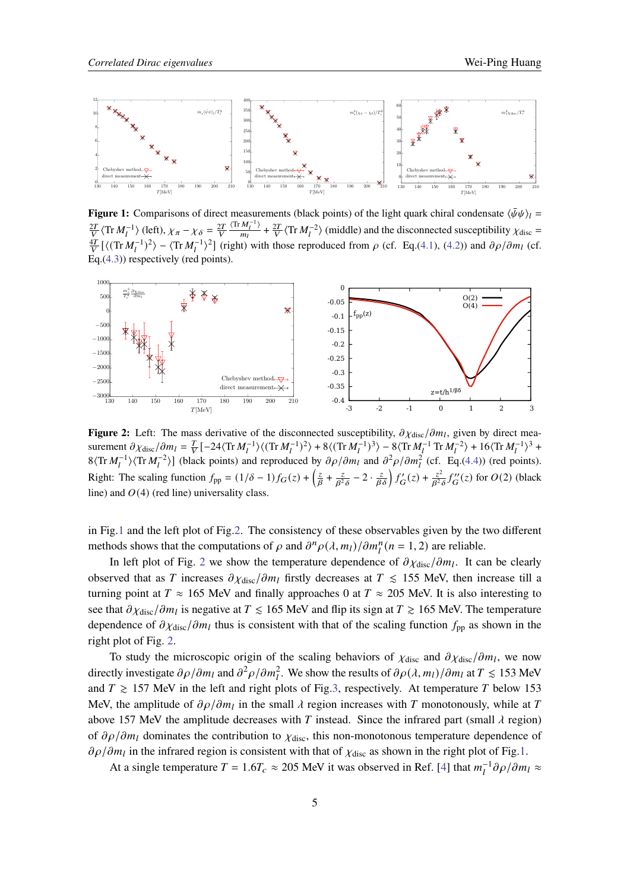<span id="page-4-0"></span>

**Figure 1:** Comparisons of direct measurements (black points) of the light quark chiral condensate  $\langle \bar{\psi}\psi \rangle_l =$  $\frac{2T}{V}$  $\langle \text{Tr } M_l^{-1} \rangle$  (left),  $\chi_{\pi} - \chi_{\delta} = \frac{2T}{V}$  $\langle \text{Tr} \, M_l^{-1} \rangle$  $\frac{M_l^{-1}}{m_l}$  +  $\frac{2T}{V}$   $\langle$  Tr  $M_l^{-2}$  $\rangle$  (middle) and the disconnected susceptibility  $\chi$ <sub>disc</sub> =  $\frac{4T}{V}$ [ $\langle$ (Tr $M_l^{-1}$ )<sup>2</sup>) –  $\langle$ Tr $M_l^{-1}$ )<sup>2</sup>] (right) with those reproduced from  $\rho$  (cf. Eq.[\(4.1\)](#page-3-1), [\(4.2\)](#page-3-0)) and  $\partial \rho / \partial m_l$  (cf. Eq.[\(4.3\)](#page-3-2)) respectively (red points).

<span id="page-4-1"></span>

**Figure 2:** Left: The mass derivative of the disconnected susceptibility,  $\partial \chi_{\text{disc}}/\partial m_l$ , given by direct measurement  $\partial \chi_{\text{disc}} / \partial m_l = \frac{T}{V} \left[ -24 \langle \text{Tr} M_l^{-1} \rangle \langle (\text{Tr} M_l^{-1})^2 \rangle + 8 \langle (\text{Tr} M_l^{-1})^3 \rangle - 8 \langle \text{Tr} M_l^{-1} \text{Tr} M_l^{-2} \rangle + 16 \langle \text{Tr} M_l^{-1} \rangle^3 +$  $8\langle \text{Tr } M_l^{-1} \rangle \langle \text{Tr } M_l^{-2} \rangle$ ] (black points) and reproduced by  $\partial \rho / \partial m_l$  and  $\partial^2 \rho / \partial m_l^2$  (cf. Eq.[\(4.4\)](#page-3-3)) (red points). Right: The scaling function  $f_{pp} = (1/\delta - 1)f_G(z) + \left(\frac{z}{\beta} + \frac{z}{\beta^2}\right)$  $\frac{z}{\beta^2 \delta} - 2 \cdot \frac{z}{\beta \delta} \bigg) f'_{\mathbf{G}}(z) + \frac{z^2}{\beta^2}$  $\frac{z^2}{\beta^2 \delta} f''_G(z)$  for  $O(2)$  (black line) and  $O(4)$  (red line) universality class.

in Fig[.1](#page-4-0) and the left plot of Fig[.2.](#page-4-1) The consistency of these observables given by the two different methods shows that the computations of  $\rho$  and  $\partial^n \rho(\lambda, m_l)/\partial m_l^n(n = 1, 2)$  are reliable.

In left plot of Fig. [2](#page-4-1) we show the temperature dependence of  $\partial \chi_{\text{disc}}/\partial m_l$ . It can be clearly observed that as T increases  $\partial \chi_{\text{disc}} / \partial m_l$  firstly decreases at  $T \le 155$  MeV, then increase till a turning point at  $T \approx 165$  MeV and finally approaches 0 at  $T \approx 205$  MeV. It is also interesting to see that  $\partial \chi_{\text{disc}}/\partial m_l$  is negative at  $T \le 165$  MeV and flip its sign at  $T \ge 165$  MeV. The temperature dependence of  $\partial \chi_{\text{disc}}/\partial m_l$  thus is consistent with that of the scaling function  $f_{\text{pp}}$  as shown in the right plot of Fig. [2.](#page-4-1)

To study the microscopic origin of the scaling behaviors of  $\chi_{\text{disc}}$  and  $\partial \chi_{\text{disc}}/\partial m_l$ , we now directly investigate  $\partial \rho / \partial m_l$  and  $\partial^2 \rho / \partial m_l^2$ . We show the results of  $\partial \rho (\lambda, m_l) / \partial m_l$  at  $T \le 153$  MeV and  $T \ge 157$  MeV in the left and right plots of Fig[.3,](#page-5-0) respectively. At temperature T below 153 MeV, the amplitude of  $\partial \rho / \partial m_l$  in the small  $\lambda$  region increases with T monotonously, while at T above 157 MeV the amplitude decreases with T instead. Since the infrared part (small  $\lambda$  region) of  $\partial \rho / \partial m_l$  dominates the contribution to  $\chi_{\text{disc}}$ , this non-monotonous temperature dependence of  $\partial \rho / \partial m_l$  in the infrared region is consistent with that of  $\chi_{\text{disc}}$  as shown in the right plot of Fig[.1.](#page-4-0)

At a single temperature  $T = 1.6T_c \approx 205$  MeV it was observed in Ref. [\[4\]](#page-8-3) that  $m_l^{-1} \partial \rho / \partial m_l \approx$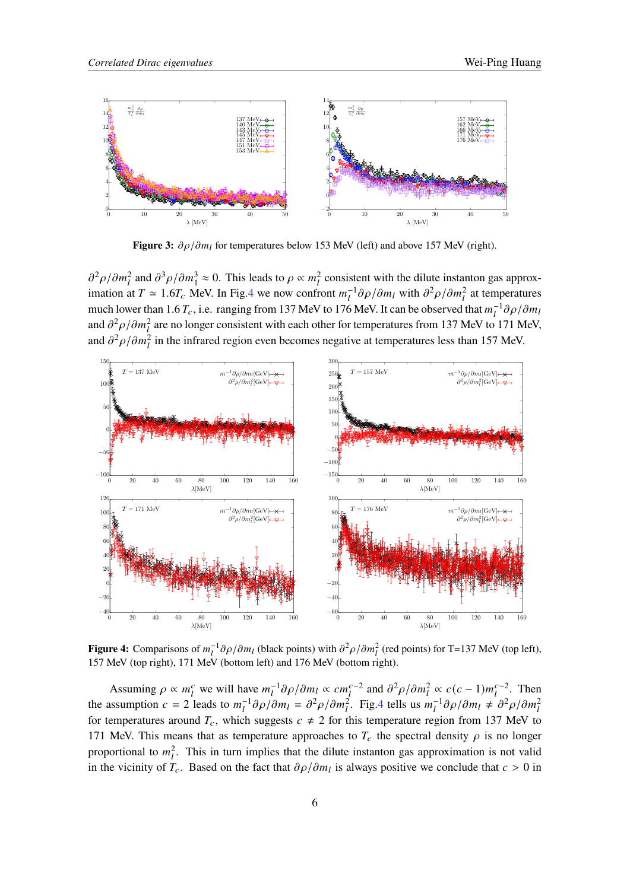<span id="page-5-0"></span>

**Figure 3:**  $\partial \rho / \partial m_l$  for temperatures below 153 MeV (left) and above 157 MeV (right).

 $\partial^2 \rho / \partial m_l^2$  and  $\partial^3 \rho / \partial m_l^3 \approx 0$ . This leads to  $\rho \propto m_l^2$  consistent with the dilute instanton gas approximation at  $T \approx 1.6 T_c$  MeV. In Fig[.4](#page-5-1) we now confront  $m_l^{-1} \partial \rho / \partial m_l$  with  $\partial^2 \rho / \partial m_l^2$  at temperatures much lower than 1.6  $T_c$ , i.e. ranging from 137 MeV to 176 MeV. It can be observed that  $m_l^{-1}\partial\rho/\partial m_l$ and  $\partial^2 \rho / \partial m_l^2$  are no longer consistent with each other for temperatures from 137 MeV to 171 MeV, and  $\partial^2 \rho / \partial m_l^2$  in the infrared region even becomes negative at temperatures less than 157 MeV.

<span id="page-5-1"></span>

**Figure 4:** Comparisons of  $m_l^{-1} \partial \rho / \partial m_l$  (black points) with  $\partial^2 \rho / \partial m_l^2$  (red points) for T=137 MeV (top left), 157 MeV (top right), 171 MeV (bottom left) and 176 MeV (bottom right).

Assuming  $\rho \propto m_l^c$  we will have  $m_l^{-1} \partial \rho / \partial m_l \propto cm_l^{c-2}$  and  $\partial^2 \rho / \partial m_l^2 \propto c(c-1) m_l^{c-2}$ . Then the assumption  $c = 2$  leads to  $m_l^{-1} \partial \rho / \partial m_l = \partial^2 \rho / \partial m_l^2$ . Fig[.4](#page-5-1) tells us  $m_l^{-1} \partial \rho / \partial m_l \neq \partial^2 \rho / \partial m_l^2$ for temperatures around  $T_c$ , which suggests  $c \neq 2$  for this temperature region from 137 MeV to 171 MeV. This means that as temperature approaches to  $T_c$  the spectral density  $\rho$  is no longer proportional to  $m_l^2$ . This in turn implies that the dilute instanton gas approximation is not valid in the vicinity of  $T_c$ . Based on the fact that  $\partial \rho / \partial m_l$  is always positive we conclude that  $c > 0$  in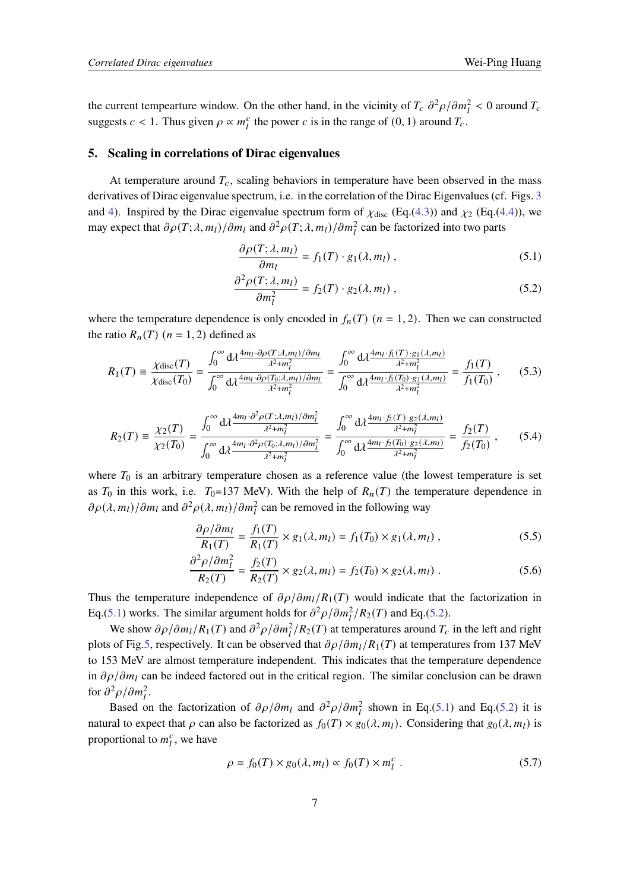the current tempearture window. On the other hand, in the vicinity of  $T_c \frac{\partial^2 \rho}{\partial m_l^2} < 0$  around  $T_c$ suggests  $c < 1$ . Thus given  $\rho \propto m_l^c$  the power c is in the range of  $(0, 1)$  around  $T_c$ .

#### **5. Scaling in correlations of Dirac eigenvalues**

At temperature around  $T_c$ , scaling behaviors in temperature have been observed in the mass derivatives of Dirac eigenvalue spectrum, i.e. in the correlation of the Dirac Eigenvalues (cf. Figs. [3](#page-5-0) and [4\)](#page-5-1). Inspired by the Dirac eigenvalue spectrum form of  $\chi_{disc}$  (Eq.[\(4.3\)](#page-3-2)) and  $\chi_2$  (Eq.[\(4.4\)](#page-3-3)), we may expect that  $\partial \rho(T; \lambda, m_l) / \partial m_l$  and  $\partial^2 \rho(T; \lambda, m_l) / \partial m_l^2$  can be factorized into two parts

<span id="page-6-1"></span><span id="page-6-0"></span>
$$
\frac{\partial \rho(T; \lambda, m_l)}{\partial m_l} = f_1(T) \cdot g_1(\lambda, m_l) , \qquad (5.1)
$$

$$
\frac{\partial^2 \rho(T; \lambda, m_l)}{\partial m_l^2} = f_2(T) \cdot g_2(\lambda, m_l) , \qquad (5.2)
$$

where the temperature dependence is only encoded in  $f_n(T)$  ( $n = 1, 2$ ). Then we can constructed the ratio  $R_n(T)$  ( $n = 1, 2$ ) defined as

$$
R_1(T) = \frac{\chi_{\text{disc}}(T)}{\chi_{\text{disc}}(T_0)} = \frac{\int_0^\infty d\lambda \frac{4m_l \cdot \partial \rho(T; \lambda, m_l)/\partial m_l}{\lambda^2 + m_l^2}}{\int_0^\infty d\lambda \frac{4m_l \cdot \partial \rho(T_0; \lambda, m_l)/\partial m_l}{\lambda^2 + m_l^2}} = \frac{\int_0^\infty d\lambda \frac{4m_l \cdot f_1(T) \cdot g_1(\lambda, m_l)}{\lambda^2 + m_l^2}}{\int_0^\infty d\lambda \frac{4m_l \cdot f_1(T_0) \cdot g_1(\lambda, m_l)}{\lambda^2 + m_l^2}} = \frac{f_1(T)}{f_1(T_0)},
$$
(5.3)

$$
R_2(T) = \frac{\chi_2(T)}{\chi_2(T_0)} = \frac{\int_0^\infty d\lambda \frac{4m_l \cdot \partial^2 \rho(T; \lambda, m_l)/\partial m_l^2}{\lambda^2 + m_l^2}}{\int_0^\infty d\lambda \frac{4m_l \cdot \partial^2 \rho(T_0; \lambda, m_l)/\partial m_l^2}{\lambda^2 + m_l^2}} = \frac{\int_0^\infty d\lambda \frac{4m_l \cdot f_2(T) \cdot g_2(\lambda, m_l)}{\lambda^2 + m_l^2}}{\int_0^\infty d\lambda \frac{4m_l \cdot f_2(T_0) \cdot g_2(\lambda, m_l)}{\lambda^2 + m_l^2}} = \frac{f_2(T)}{f_2(T_0)},
$$
(5.4)

where  $T_0$  is an arbitrary temperature chosen as a reference value (the lowest temperature is set as  $T_0$  in this work, i.e.  $T_0=137$  MeV). With the help of  $R_n(T)$  the temperature dependence in  $\partial \rho(\lambda, m_l) / \partial m_l$  and  $\partial^2 \rho(\lambda, m_l) / \partial m_l^2$  can be removed in the following way

<span id="page-6-3"></span><span id="page-6-2"></span>
$$
\frac{\partial \rho/\partial m_l}{R_1(T)} = \frac{f_1(T)}{R_1(T)} \times g_1(\lambda, m_l) = f_1(T_0) \times g_1(\lambda, m_l) , \qquad (5.5)
$$

$$
\frac{\partial^2 \rho / \partial m_l^2}{R_2(T)} = \frac{f_2(T)}{R_2(T)} \times g_2(\lambda, m_l) = f_2(T_0) \times g_2(\lambda, m_l) . \tag{5.6}
$$

Thus the temperature independence of  $\partial \rho / \partial m_l / R_1(T)$  would indicate that the factorization in Eq.[\(5.1\)](#page-6-0) works. The similar argument holds for  $\partial^2 \rho / \partial m_l^2 / R_2(T)$  and Eq.[\(5.2\)](#page-6-1).

We show  $\partial \rho / \partial m_l / R_1(T)$  and  $\partial^2 \rho / \partial m_l^2 / R_2(T)$  at temperatures around  $T_c$  in the left and right plots of Fig[.5,](#page-7-0) respectively. It can be observed that  $\partial \rho / \partial m_l / R_1(T)$  at temperatures from 137 MeV to 153 MeV are almost temperature independent. This indicates that the temperature dependence in  $\partial \rho / \partial m_l$  can be indeed factored out in the critical region. The similar conclusion can be drawn for  $\partial^2 \rho / \partial m_l^2$ .

Based on the factorization of  $\partial \rho / \partial m_l$  and  $\partial^2 \rho / \partial m_l^2$  shown in Eq.[\(5.1\)](#page-6-0) and Eq.[\(5.2\)](#page-6-1) it is natural to expect that  $\rho$  can also be factorized as  $f_0(T) \times g_0(\lambda, m_l)$ . Considering that  $g_0(\lambda, m_l)$  is proportional to  $m_l^c$ , we have

$$
\rho = f_0(T) \times g_0(\lambda, m_l) \propto f_0(T) \times m_l^c \tag{5.7}
$$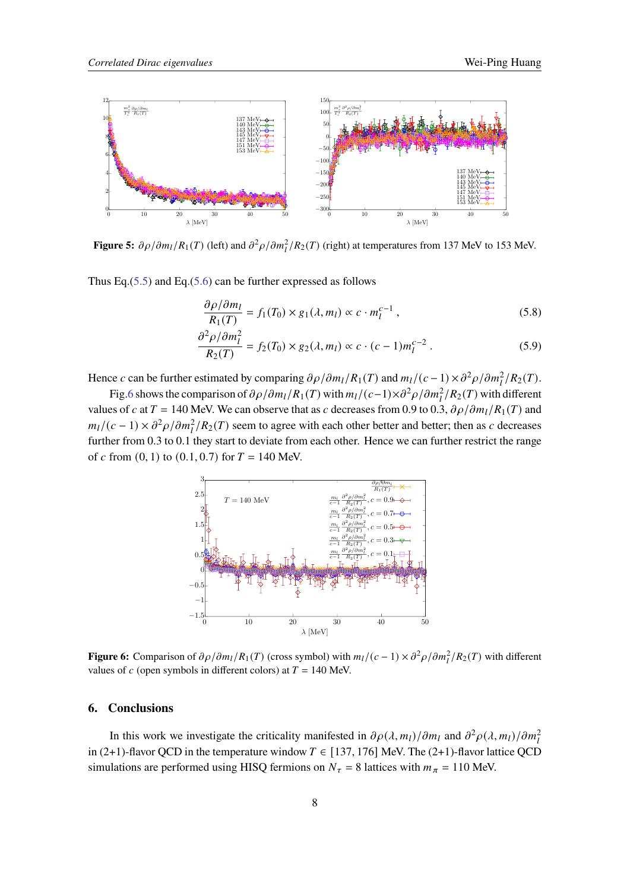<span id="page-7-0"></span>

**Figure 5:**  $\partial \rho / \partial m_l / R_1(T)$  (left) and  $\partial^2 \rho / \partial m_l^2 / R_2(T)$  (right) at temperatures from 137 MeV to 153 MeV.

Thus Eq.[\(5.5\)](#page-6-2) and Eq.[\(5.6\)](#page-6-3) can be further expressed as follows

$$
\frac{\partial \rho/\partial m_l}{R_1(T)} = f_1(T_0) \times g_1(\lambda, m_l) \propto c \cdot m_l^{c-1},\tag{5.8}
$$

$$
\frac{\partial^2 \rho / \partial m_l^2}{R_2(T)} = f_2(T_0) \times g_2(\lambda, m_l) \propto c \cdot (c - 1) m_l^{c - 2} . \tag{5.9}
$$

Hence c can be further estimated by comparing  $\partial \rho / \partial m_l / R_1(T)$  and  $m_l / (c - 1) \times \partial^2 \rho / \partial m_l^2 / R_2(T)$ .

<span id="page-7-1"></span>Fig[.6](#page-7-1) shows the comparison of  $\partial \rho / \partial m_l / R_1(T)$  with  $m_l / (c-1) \times \partial^2 \rho / \partial m_l^2 / R_2(T)$  with different values of c at  $T = 140$  MeV. We can observe that as c decreases from 0.9 to 0.3,  $\partial \rho / \partial m_l / R_1(T)$  and  $m_l/(c-1) \times \partial^2 \rho / \partial m_l^2 / R_2(T)$  seem to agree with each other better and better; then as c decreases further from 0.3 to 0.1 they start to deviate from each other. Hence we can further restrict the range of  $c$  from  $(0, 1)$  to  $(0.1, 0.7)$  for  $T = 140$  MeV.



**Figure 6:** Comparison of  $\partial \rho / \partial m_l / R_1(T)$  (cross symbol) with  $m_l / (c - 1) \times \partial^2 \rho / \partial m_l^2 / R_2(T)$  with different values of  $c$  (open symbols in different colors) at  $T = 140$  MeV.

#### **6. Conclusions**

In this work we investigate the criticality manifested in  $\partial \rho(\lambda, m_l)/\partial m_l$  and  $\partial^2 \rho(\lambda, m_l)/\partial m_l^2$ in (2+1)-flavor QCD in the temperature window  $T \in [137, 176]$  MeV. The (2+1)-flavor lattice QCD simulations are performed using HISQ fermions on  $N_{\tau} = 8$  lattices with  $m_{\pi} = 110$  MeV.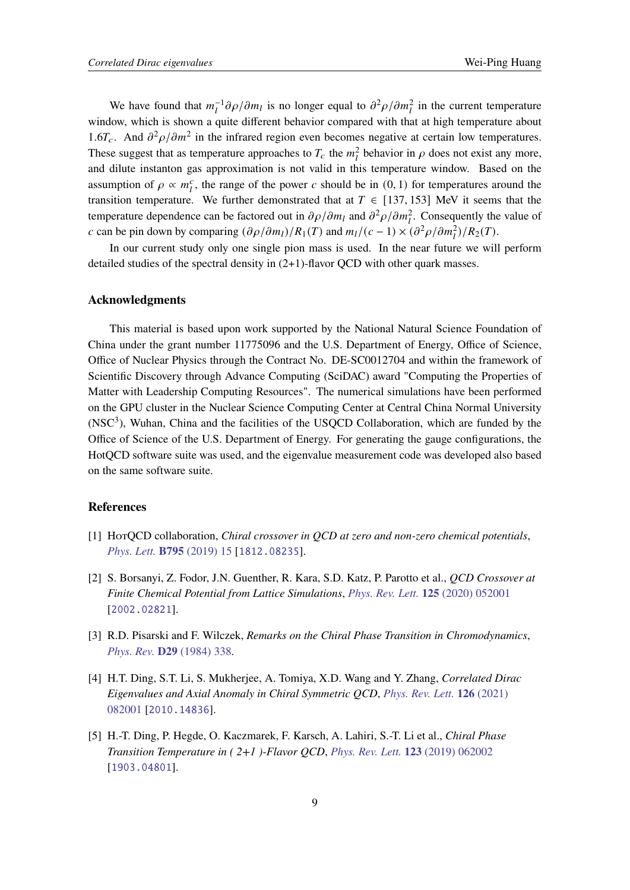We have found that  $m_l^{-1} \partial \rho / \partial m_l$  is no longer equal to  $\partial^2 \rho / \partial m_l^2$  in the current temperature window, which is shown a quite different behavior compared with that at high temperature about 1.6 $T_c$ . And  $\partial^2 \rho / \partial m^2$  in the infrared region even becomes negative at certain low temperatures. These suggest that as temperature approaches to  $T_c$  the  $m_l^2$  behavior in  $\rho$  does not exist any more, and dilute instanton gas approximation is not valid in this temperature window. Based on the assumption of  $\rho \propto m_l^c$ , the range of the power c should be in  $(0, 1)$  for temperatures around the transition temperature. We further demonstrated that at  $T \in [137, 153]$  MeV it seems that the temperature dependence can be factored out in  $\partial \rho / \partial m_l$  and  $\partial^2 \rho / \partial m_l^2$ . Consequently the value of c can be pin down by comparing  $(\partial \rho/\partial m_l)/R_1(T)$  and  $m_l/(c-1) \times (\partial^2 \rho/\partial m_l^2)/R_2(T)$ .

In our current study only one single pion mass is used. In the near future we will perform detailed studies of the spectral density in  $(2+1)$ -flavor OCD with other quark masses.

## **Acknowledgments**

This material is based upon work supported by the National Natural Science Foundation of China under the grant number 11775096 and the U.S. Department of Energy, Office of Science, Office of Nuclear Physics through the Contract No. DE-SC0012704 and within the framework of Scientific Discovery through Advance Computing (SciDAC) award "Computing the Properties of Matter with Leadership Computing Resources". The numerical simulations have been performed on the GPU cluster in the Nuclear Science Computing Center at Central China Normal University  $(NSC<sup>3</sup>)$ . Wuhan, China and the facilities of the USOCD Collaboration, which are funded by the Office of Science of the U.S. Department of Energy. For generating the gauge configurations, the HotQCD software suite was used, and the eigenvalue measurement code was developed also based on the same software suite.

# **References**

- <span id="page-8-0"></span>[1] HotQCD collaboration, *Chiral crossover in QCD at zero and non-zero chemical potentials*, *[Phys. Lett.](https://doi.org/10.1016/j.physletb.2019.05.013)* **B795** (2019) 15 [[1812.08235](https://arxiv.org/abs/1812.08235)].
- <span id="page-8-1"></span>[2] S. Borsanyi, Z. Fodor, J.N. Guenther, R. Kara, S.D. Katz, P. Parotto et al., *QCD Crossover at Finite Chemical Potential from Lattice Simulations*, *[Phys. Rev. Lett.](https://doi.org/10.1103/PhysRevLett.125.052001)* **125** (2020) 052001 [[2002.02821](https://arxiv.org/abs/2002.02821)].
- <span id="page-8-2"></span>[3] R.D. Pisarski and F. Wilczek, *Remarks on the Chiral Phase Transition in Chromodynamics*, *[Phys. Rev.](https://doi.org/10.1103/PhysRevD.29.338)* **D29** (1984) 338.
- <span id="page-8-3"></span>[4] H.T. Ding, S.T. Li, S. Mukherjee, A. Tomiya, X.D. Wang and Y. Zhang, *Correlated Dirac Eigenvalues and Axial Anomaly in Chiral Symmetric QCD*, *[Phys. Rev. Lett.](https://doi.org/10.1103/PhysRevLett.126.082001)* **126** (2021) [082001](https://doi.org/10.1103/PhysRevLett.126.082001) [[2010.14836](https://arxiv.org/abs/2010.14836)].
- <span id="page-8-4"></span>[5] H.-T. Ding, P. Hegde, O. Kaczmarek, F. Karsch, A. Lahiri, S.-T. Li et al., *Chiral Phase Transition Temperature in ( 2+1 )-Flavor QCD*, *[Phys. Rev. Lett.](https://doi.org/10.1103/PhysRevLett.123.062002)* **123** (2019) 062002 [[1903.04801](https://arxiv.org/abs/1903.04801)].